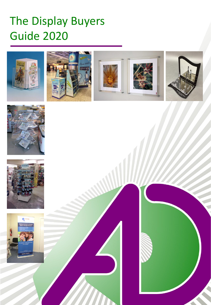## The Display Buyers Guide 2020







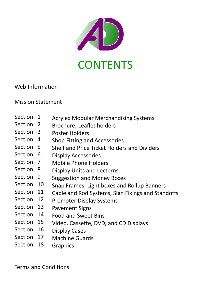

#### Web Information

Mission Statement

- Section 1 Acrylex Modular Merchandising Systems
- Section 2 Brochure, Leaflet holders
- Section 3 Poster Holders
- Section 4 Shop Fitting and Accessories
- Section 5 Shelf and Price Ticket Holders and Dividers
- Section 6 Display Accessories
- Section 7 Mobile Phone Holders
- Section 8 Display Units and Lecterns
- Section 9 Suggestion and Money Boxes
- Section 10 Snap Frames, Light boxes and Rollup Banners
- Section 11 Cable and Rod Systems, Sign Fixings and Standoffs
- Section 12 Promoter Display Systems
- Section 13 Pavement Signs
- Section 14 Food and Sweet Bins
- Section 15 Video, Cassette, DVD, and CD Displays
- Section 16 Display Cases
- Section 17 Machine Guards
- Section 18 **Graphics**

Terms and Conditions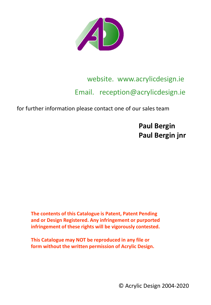

## website. www.acrylicdesign.ie Email. reception@acrylicdesign.ie

for further information please contact one of our sales team

**Paul Bergin Paul Bergin jnr**

**The contents of this Catalogue is Patent, Patent Pending and or Design Registered. Any infringement or purported infringement of these rights will be vigorously contested.**

**This Catalogue may NOT be reproduced in any file or form without the written permission of Acrylic Design.**

© Acrylic Design 2004-2020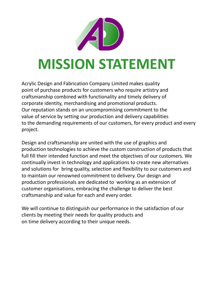

# **MISSION STATEMENT**

Acrylic Design and Fabrication Company Limited makes quality point of purchase products for customers who require artistry and craftsmanship combined with functionality and timely delivery of corporate identity, merchandising and promotional products. Our reputation stands on an uncompromising commitment to the value of service by setting our production and delivery capabilities to the demanding requirements of our customers, for every product and every project.

Design and craftsmanship are united with the use of graphics and production technologies to achieve the custom construction of products that full fill their intended function and meet the objectives of our customers. We continually invest in technology and applications to create new alternatives and solutions for bring quality, selection and flexibility to our customers and to maintain our renowned commitment to delivery. Our design and production professionals are dedicated to working as an extension of customer organisations, embracing the challenge to deliver the best craftsmanship and value for each and every order.

We will continue to distinguish our performance in the satisfaction of our clients by meeting their needs for quality products and on time delivery according to their unique needs.